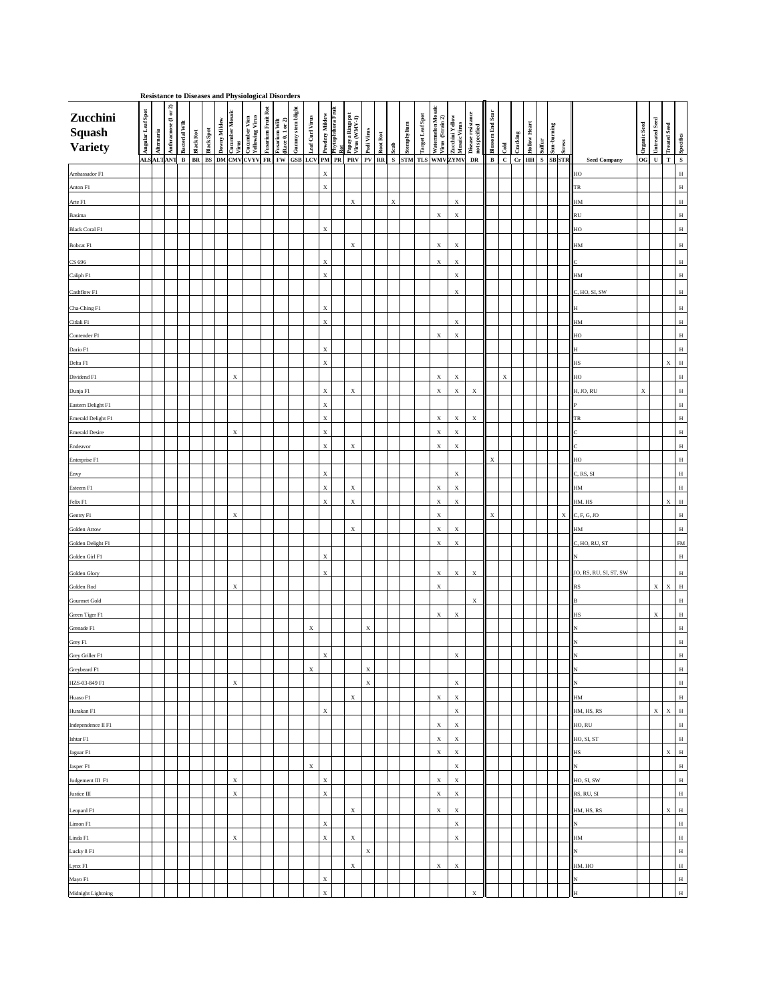**Resistance to Diseases and Physiological Disorders**

| Zucchini<br><b>Squash<br/>Variety</b> | Angular Leaf Spot | Alternaria | or 2)<br>Anthracnose (1 | <b>Bacterial Wilt</b><br><b>Black Rot</b>                            | Black Spot | Mildew<br>Downy | <b>Lucumber Mosaic</b><br>Virus | Cucumber Vien<br>Yellowing Virus | <b>Fusarium Fruit Rot</b> | (Race 0, 1 or 2)<br>Fusarium Wilt | stem blight<br>Gunny | Leaf Curl Virus           | Powdery Mildew            | Phytophthora Fruit<br>Rot | Papaya Ringspot<br>Virus (WMV-1) | Podi Virus  | Root Rot | Scab        | Stemphylium | <b>Target Leaf Spot</b> | Watermelon Mosaic<br>Virus (Strain 2) | Zucchini Yellow<br>Mosaic Virus          | Disease resistance<br>not specified | Scar<br><b>Blossom End</b> | Cold         | Cracking | Heart<br>Hollow | Sulfur | Sun-burning                      | <b>Stress</b> |                            | Organic Seed | <b>Untreated Seed</b>     | <b>Treated Seed</b><br>Specifics |
|---------------------------------------|-------------------|------------|-------------------------|----------------------------------------------------------------------|------------|-----------------|---------------------------------|----------------------------------|---------------------------|-----------------------------------|----------------------|---------------------------|---------------------------|---------------------------|----------------------------------|-------------|----------|-------------|-------------|-------------------------|---------------------------------------|------------------------------------------|-------------------------------------|----------------------------|--------------|----------|-----------------|--------|----------------------------------|---------------|----------------------------|--------------|---------------------------|----------------------------------|
|                                       |                   |            | ALSALTANT               | B BR BS DM CMV CVYV FR FW GSB LCV PM PR PRV PV RR S STM TLS WMV ZYMV |            |                 |                                 |                                  |                           |                                   |                      |                           |                           |                           |                                  |             |          |             |             |                         |                                       |                                          | DR                                  | $\mathbf{B}$               | $\mathbf{C}$ |          |                 |        | $cr$ HH $\vert$ S $\vert$ SB STR |               | <b>Seed Company</b>        | $OG$ U       |                           | S<br>$\mathbf T$                 |
| Ambassador F1                         |                   |            |                         |                                                                      |            |                 |                                 |                                  |                           |                                   |                      |                           | $\boldsymbol{\mathrm{X}}$ |                           |                                  |             |          |             |             |                         |                                       |                                          |                                     |                            |              |          |                 |        |                                  |               | $\blacksquare$             |              |                           | H                                |
| Anton F1                              |                   |            |                         |                                                                      |            |                 |                                 |                                  |                           |                                   |                      |                           | X                         |                           |                                  |             |          |             |             |                         |                                       |                                          |                                     |                            |              |          |                 |        |                                  |               | $\vert \vert$ TR           |              |                           | H                                |
| Arte F1                               |                   |            |                         |                                                                      |            |                 |                                 |                                  |                           |                                   |                      |                           |                           |                           | $\mathbf{X}$                     |             |          | $\mathbf X$ |             |                         |                                       | $\mathbf X$                              |                                     |                            |              |          |                 |        |                                  |               | $\blacksquare$             |              |                           | H                                |
| Basima                                |                   |            |                         |                                                                      |            |                 |                                 |                                  |                           |                                   |                      |                           |                           |                           |                                  |             |          |             |             |                         | $X_{\mathcal{I}}$                     | $\mathbf X$                              |                                     |                            |              |          |                 |        |                                  |               | RU                         |              |                           | H                                |
| Black Coral F1                        |                   |            |                         |                                                                      |            |                 |                                 |                                  |                           |                                   |                      |                           | $\boldsymbol{\mathrm{X}}$ |                           |                                  |             |          |             |             |                         |                                       |                                          |                                     |                            |              |          |                 |        |                                  |               | $\vert$ HO                 |              |                           | H                                |
| <b>Bobcat F1</b>                      |                   |            |                         |                                                                      |            |                 |                                 |                                  |                           |                                   |                      |                           |                           |                           | $\mathbf X$                      |             |          |             |             |                         | X                                     | $\boldsymbol{\mathrm{X}}$                |                                     |                            |              |          |                 |        |                                  |               | $\blacksquare$             |              |                           | H                                |
| CS 696                                |                   |            |                         |                                                                      |            |                 |                                 |                                  |                           |                                   |                      |                           | $\boldsymbol{\mathrm{X}}$ |                           |                                  |             |          |             |             |                         | X                                     | $\boldsymbol{\mathrm{X}}$                |                                     |                            |              |          |                 |        |                                  |               |                            |              |                           | H                                |
| Caliph F1                             |                   |            |                         |                                                                      |            |                 |                                 |                                  |                           |                                   |                      |                           | $\boldsymbol{\mathrm{X}}$ |                           |                                  |             |          |             |             |                         |                                       | $\mathbf X$                              |                                     |                            |              |          |                 |        |                                  |               | <b>HM</b>                  |              |                           | H                                |
| Cashflow F1                           |                   |            |                         |                                                                      |            |                 |                                 |                                  |                           |                                   |                      |                           |                           |                           |                                  |             |          |             |             |                         |                                       | $\mathbf X$                              |                                     |                            |              |          |                 |        |                                  |               | $\vert$ C, HO, SI, SW      |              |                           | H                                |
| Cha-Ching F1                          |                   |            |                         |                                                                      |            |                 |                                 |                                  |                           |                                   |                      |                           | $\boldsymbol{\mathrm{X}}$ |                           |                                  |             |          |             |             |                         |                                       |                                          |                                     |                            |              |          |                 |        |                                  |               | $\mathbf{H}$               |              |                           | H                                |
| Citlali F1                            |                   |            |                         |                                                                      |            |                 |                                 |                                  |                           |                                   |                      |                           | $\boldsymbol{\mathrm{X}}$ |                           |                                  |             |          |             |             |                         |                                       | $\boldsymbol{\mathrm{X}}$                |                                     |                            |              |          |                 |        |                                  |               | $\blacksquare$ HM          |              |                           | H                                |
| Contender F1                          |                   |            |                         |                                                                      |            |                 |                                 |                                  |                           |                                   |                      |                           |                           |                           |                                  |             |          |             |             |                         | X                                     | $\boldsymbol{\mathrm{X}}$                |                                     |                            |              |          |                 |        |                                  |               | $\blacksquare$             |              |                           | H                                |
| Dario F1                              |                   |            |                         |                                                                      |            |                 |                                 |                                  |                           |                                   |                      |                           | $\mathbf X$               |                           |                                  |             |          |             |             |                         |                                       |                                          |                                     |                            |              |          |                 |        |                                  |               | l IH                       |              |                           | H                                |
| Delta F1                              |                   |            |                         |                                                                      |            |                 |                                 |                                  |                           |                                   |                      |                           | $\mathbf X$               |                           |                                  |             |          |             |             |                         |                                       |                                          |                                     |                            |              |          |                 |        |                                  |               | $\blacksquare$             |              |                           | $X$ $H$                          |
| Dividend F1                           |                   |            |                         |                                                                      |            |                 | $\boldsymbol{\mathrm{X}}$       |                                  |                           |                                   |                      |                           |                           |                           |                                  |             |          |             |             |                         | X                                     | $\boldsymbol{\mathrm{X}}$                |                                     |                            | X            |          |                 |        |                                  |               | $\blacksquare$             |              |                           | H                                |
| Dunja F1                              |                   |            |                         |                                                                      |            |                 |                                 |                                  |                           |                                   |                      |                           | $\boldsymbol{X}$          |                           | $\mathbf{X}$                     |             |          |             |             |                         | X                                     | X                                        | X                                   |                            |              |          |                 |        |                                  |               | H, JO, RU                  | $\mathbf X$  |                           | H                                |
| Eastern Delight F1                    |                   |            |                         |                                                                      |            |                 |                                 |                                  |                           |                                   |                      |                           | $\boldsymbol{X}$          |                           |                                  |             |          |             |             |                         |                                       |                                          |                                     |                            |              |          |                 |        |                                  |               |                            |              |                           | H                                |
| <b>Emerald Delight F1</b>             |                   |            |                         |                                                                      |            |                 |                                 |                                  |                           |                                   |                      |                           | $\boldsymbol{\mathrm{X}}$ |                           |                                  |             |          |             |             |                         | X                                     | $\mathbf X$                              | $\mathbf{X}$                        |                            |              |          |                 |        |                                  |               | $\mathsf{T}$               |              |                           | H                                |
| <b>Emerald Desire</b>                 |                   |            |                         |                                                                      |            |                 | $\boldsymbol{\mathrm{X}}$       |                                  |                           |                                   |                      |                           | $\boldsymbol{\mathrm{X}}$ |                           |                                  |             |          |             |             |                         | X                                     | $\mathbf X$                              |                                     |                            |              |          |                 |        |                                  |               |                            |              |                           | H                                |
| Endeavor                              |                   |            |                         |                                                                      |            |                 |                                 |                                  |                           |                                   |                      |                           | $\mathbf X$               |                           | $\boldsymbol{\mathrm{X}}$        |             |          |             |             |                         | X                                     | $\boldsymbol{\mathrm{X}}$                |                                     |                            |              |          |                 |        |                                  |               |                            |              |                           | H                                |
| Enterprise F1                         |                   |            |                         |                                                                      |            |                 |                                 |                                  |                           |                                   |                      |                           |                           |                           |                                  |             |          |             |             |                         |                                       |                                          |                                     | $\boldsymbol{\mathrm{X}}$  |              |          |                 |        |                                  |               | $\blacksquare$             |              |                           | H                                |
| Envy                                  |                   |            |                         |                                                                      |            |                 |                                 |                                  |                           |                                   |                      |                           | $\boldsymbol{\mathrm{X}}$ |                           |                                  |             |          |             |             |                         |                                       | $\boldsymbol{\mathrm{X}}$                |                                     |                            |              |          |                 |        |                                  |               | $\vert$ C, RS, SI          |              |                           | H                                |
| Esteem F1                             |                   |            |                         |                                                                      |            |                 |                                 |                                  |                           |                                   |                      |                           | $\boldsymbol{\mathrm{X}}$ |                           | $\mathbf{X}$                     |             |          |             |             |                         | X                                     | $\boldsymbol{\mathrm{X}}$                |                                     |                            |              |          |                 |        |                                  |               | <b>HM</b>                  |              |                           | H                                |
| Felix F1                              |                   |            |                         |                                                                      |            |                 |                                 |                                  |                           |                                   |                      |                           | $\mathbf X$               |                           | $\mathbf{X}$                     |             |          |             |             |                         | X                                     | $\boldsymbol{\mathrm{X}}$                |                                     |                            |              |          |                 |        |                                  |               | HM, HS                     |              |                           | $ $ H $ $<br>X                   |
| Gentry F1                             |                   |            |                         |                                                                      |            |                 | $\boldsymbol{\mathrm{X}}$       |                                  |                           |                                   |                      |                           |                           |                           |                                  |             |          |             |             |                         | $\mathbf X$                           |                                          |                                     | $\boldsymbol{\mathrm{X}}$  |              |          |                 |        |                                  |               | $X \mid C, F, G, JO$       |              |                           | H                                |
| <b>Golden Arrow</b>                   |                   |            |                         |                                                                      |            |                 |                                 |                                  |                           |                                   |                      |                           |                           |                           | $\mathbf{X}$                     |             |          |             |             |                         | X                                     | $\boldsymbol{\mathrm{X}}$                |                                     |                            |              |          |                 |        |                                  |               | $\blacksquare$ HM          |              |                           | H                                |
| Golden Delight F1                     |                   |            |                         |                                                                      |            |                 |                                 |                                  |                           |                                   |                      |                           |                           |                           |                                  |             |          |             |             |                         | X                                     | $\mathbf{X}$                             |                                     |                            |              |          |                 |        |                                  |               | C, HO, RU, ST              |              |                           | FM                               |
| Golden Girl F1                        |                   |            |                         |                                                                      |            |                 |                                 |                                  |                           |                                   |                      |                           | $\boldsymbol{\mathrm{X}}$ |                           |                                  |             |          |             |             |                         |                                       |                                          |                                     |                            |              |          |                 |        |                                  |               | $\mathbf{N}$               |              |                           | H                                |
| Golden Glory                          |                   |            |                         |                                                                      |            |                 |                                 |                                  |                           |                                   |                      |                           | $\boldsymbol{X}$          |                           |                                  |             |          |             |             |                         | X                                     | $\mathbf{X}$                             | $\boldsymbol{\mathrm{X}}$           |                            |              |          |                 |        |                                  |               | JO, RS, RU, SI, ST, SW     |              |                           | H                                |
| Golden Rod                            |                   |            |                         |                                                                      |            |                 | $\boldsymbol{\mathrm{X}}$       |                                  |                           |                                   |                      |                           |                           |                           |                                  |             |          |             |             |                         | $\mathbf X$                           |                                          |                                     |                            |              |          |                 |        |                                  |               | $\vert$ RS                 |              | $\boldsymbol{\mathrm{X}}$ | $\vert$ H<br>X                   |
| Gourmet Gold                          |                   |            |                         |                                                                      |            |                 |                                 |                                  |                           |                                   |                      |                           |                           |                           |                                  |             |          |             |             |                         |                                       |                                          | $\mathbf X$                         |                            |              |          |                 |        |                                  |               | $\mathbf{B}$               |              |                           | H                                |
| Green Tiger F1                        |                   |            |                         |                                                                      |            |                 |                                 |                                  |                           |                                   |                      |                           |                           |                           |                                  |             |          |             |             |                         | X                                     | $\boldsymbol{\mathrm{X}}$                |                                     |                            |              |          |                 |        |                                  |               | $\vert$ HS                 |              | $\mathbf X$               | H                                |
| Grenade F1                            |                   |            |                         |                                                                      |            |                 |                                 |                                  |                           |                                   |                      | X                         |                           |                           |                                  | $\mathbf X$ |          |             |             |                         |                                       |                                          |                                     |                            |              |          |                 |        |                                  |               | IN                         |              |                           | H                                |
| Grey F1                               |                   |            |                         |                                                                      |            |                 |                                 |                                  |                           |                                   |                      |                           |                           |                           |                                  |             |          |             |             |                         |                                       |                                          |                                     |                            |              |          |                 |        |                                  |               |                            |              |                           | H                                |
| Grey Griller F1                       |                   |            |                         |                                                                      |            |                 |                                 |                                  |                           |                                   |                      |                           | $\mathbf X$               |                           |                                  |             |          |             |             |                         |                                       | $\mathbf X$                              |                                     |                            |              |          |                 |        |                                  |               | $\mathbf{N}$               |              |                           | H                                |
| Greybeard F1                          |                   |            |                         |                                                                      |            |                 |                                 |                                  |                           |                                   |                      | $\mathbf X$               |                           |                           |                                  | $\mathbf X$ |          |             |             |                         |                                       |                                          |                                     |                            |              |          |                 |        |                                  |               | $\mathsf{IN}$              |              |                           | H                                |
| HZS-03-849 F1                         |                   |            |                         |                                                                      |            |                 | $\boldsymbol{\mathrm{X}}$       |                                  |                           |                                   |                      |                           |                           |                           |                                  | $\mathbf X$ |          |             |             |                         |                                       | $\boldsymbol{\mathrm{X}}$                |                                     |                            |              |          |                 |        |                                  |               | $\mathbf{I}$ N             |              |                           | H                                |
| Huaso F1                              |                   |            |                         |                                                                      |            |                 |                                 |                                  |                           |                                   |                      |                           |                           |                           | $\mathbf{X}$                     |             |          |             |             |                         | X                                     | $\boldsymbol{\mathrm{X}}$                |                                     |                            |              |          |                 |        |                                  |               | <b>HM</b>                  |              |                           | H                                |
| Hurakan F1<br>Independence II F1      |                   |            |                         |                                                                      |            |                 |                                 |                                  |                           |                                   |                      |                           | $\boldsymbol{\mathrm{X}}$ |                           |                                  |             |          |             |             |                         | X                                     | $\boldsymbol{\mathrm{X}}$<br>$\mathbf X$ |                                     |                            |              |          |                 |        |                                  |               | HM, HS, RS<br>HO, RU       |              | $\boldsymbol{\mathrm{X}}$ | $X$ $H$<br>H                     |
| Ishtar F1                             |                   |            |                         |                                                                      |            |                 |                                 |                                  |                           |                                   |                      |                           |                           |                           |                                  |             |          |             |             |                         | X                                     | $\mathbf{X}$                             |                                     |                            |              |          |                 |        |                                  |               | HO, SI, ST                 |              |                           | H                                |
| Jaguar <sub>F1</sub>                  |                   |            |                         |                                                                      |            |                 |                                 |                                  |                           |                                   |                      |                           |                           |                           |                                  |             |          |             |             |                         | X                                     | $\boldsymbol{\mathrm{X}}$                |                                     |                            |              |          |                 |        |                                  |               | $\blacksquare$             |              |                           | $X$ H                            |
| Jasper F1                             |                   |            |                         |                                                                      |            |                 |                                 |                                  |                           |                                   |                      | $\boldsymbol{\mathrm{X}}$ |                           |                           |                                  |             |          |             |             |                         |                                       | $\mathbf X$                              |                                     |                            |              |          |                 |        |                                  |               | $\mathbb{N}$               |              |                           | H                                |
| Judgement III F1                      |                   |            |                         |                                                                      |            |                 | $\boldsymbol{\mathrm{X}}$       |                                  |                           |                                   |                      |                           | $\mathbf X$               |                           |                                  |             |          |             |             |                         | X                                     | $\mathbf{X}$                             |                                     |                            |              |          |                 |        |                                  |               | HO, SI, SW                 |              |                           | H                                |
| Justice III                           |                   |            |                         |                                                                      |            |                 | $\mathbf X$                     |                                  |                           |                                   |                      |                           | $\boldsymbol{\mathrm{X}}$ |                           |                                  |             |          |             |             |                         | X                                     | X                                        |                                     |                            |              |          |                 |        |                                  |               | RS, RU, SI                 |              |                           | H                                |
|                                       |                   |            |                         |                                                                      |            |                 |                                 |                                  |                           |                                   |                      |                           |                           |                           |                                  |             |          |             |             |                         |                                       |                                          |                                     |                            |              |          |                 |        |                                  |               |                            |              |                           |                                  |
| Leopard F1                            |                   |            |                         |                                                                      |            |                 |                                 |                                  |                           |                                   |                      |                           |                           |                           | $\mathbf{X}$                     |             |          |             |             |                         | X                                     | $\boldsymbol{\mathrm{X}}$                |                                     |                            |              |          |                 |        |                                  |               | HM, HS, RS                 |              |                           | X<br>$\vert$ H $\vert$           |
| Limon F1                              |                   |            |                         |                                                                      |            |                 |                                 |                                  |                           |                                   |                      |                           | $\mathbf X$               |                           |                                  |             |          |             |             |                         |                                       | $\mathbf X$                              |                                     |                            |              |          |                 |        |                                  |               | $\mathsf{IN}$              |              |                           | H                                |
| Linda F1<br>Lucky 8 F1                |                   |            |                         |                                                                      |            |                 | $\boldsymbol{\mathrm{X}}$       |                                  |                           |                                   |                      |                           | $\mathbf X$               |                           | X                                | $\mathbf X$ |          |             |             |                         |                                       | $\boldsymbol{\mathrm{X}}$                |                                     |                            |              |          |                 |        |                                  |               | <b>HM</b><br>$\mathsf{IN}$ |              |                           | H<br>H                           |
| Lynx F1                               |                   |            |                         |                                                                      |            |                 |                                 |                                  |                           |                                   |                      |                           |                           |                           | $\mathbf{X}$                     |             |          |             |             |                         | X                                     | $\boldsymbol{\mathrm{X}}$                |                                     |                            |              |          |                 |        |                                  |               | HM, HO                     |              |                           | H                                |
| Mayo F1                               |                   |            |                         |                                                                      |            |                 |                                 |                                  |                           |                                   |                      |                           | $\mathbf X$               |                           |                                  |             |          |             |             |                         |                                       |                                          |                                     |                            |              |          |                 |        |                                  |               | $\mathbf{N}$               |              |                           | H                                |
| Midnight Lightning                    |                   |            |                         |                                                                      |            |                 |                                 |                                  |                           |                                   |                      |                           | $\mathbf{X}$              |                           |                                  |             |          |             |             |                         |                                       |                                          | X                                   |                            |              |          |                 |        |                                  |               | H                          |              |                           | H                                |